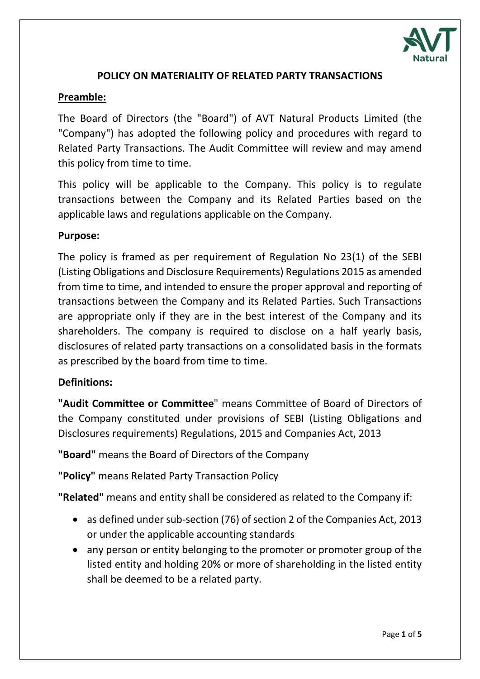

## **POLICY ON MATERIALITY OF RELATED PARTY TRANSACTIONS**

### **Preamble:**

The Board of Directors (the "Board") of AVT Natural Products Limited (the "Company") has adopted the following policy and procedures with regard to Related Party Transactions. The Audit Committee will review and may amend this policy from time to time.

This policy will be applicable to the Company. This policy is to regulate transactions between the Company and its Related Parties based on the applicable laws and regulations applicable on the Company.

### **Purpose:**

The policy is framed as per requirement of Regulation No 23(1) of the SEBI (Listing Obligations and Disclosure Requirements) Regulations 2015 as amended from time to time, and intended to ensure the proper approval and reporting of transactions between the Company and its Related Parties. Such Transactions are appropriate only if they are in the best interest of the Company and its shareholders. The company is required to disclose on a half yearly basis, disclosures of related party transactions on a consolidated basis in the formats as prescribed by the board from time to time.

## **Definitions:**

**"Audit Committee or Committee**" means Committee of Board of Directors of the Company constituted under provisions of SEBI (Listing Obligations and Disclosures requirements) Regulations, 2015 and Companies Act, 2013

**"Board"** means the Board of Directors of the Company

**"Policy"** means Related Party Transaction Policy

**"Related"** means and entity shall be considered as related to the Company if:

- as defined under sub-section (76) of section 2 of the Companies Act, 2013 or under the applicable accounting standards
- any person or entity belonging to the promoter or promoter group of the listed entity and holding 20% or more of shareholding in the listed entity shall be deemed to be a related party.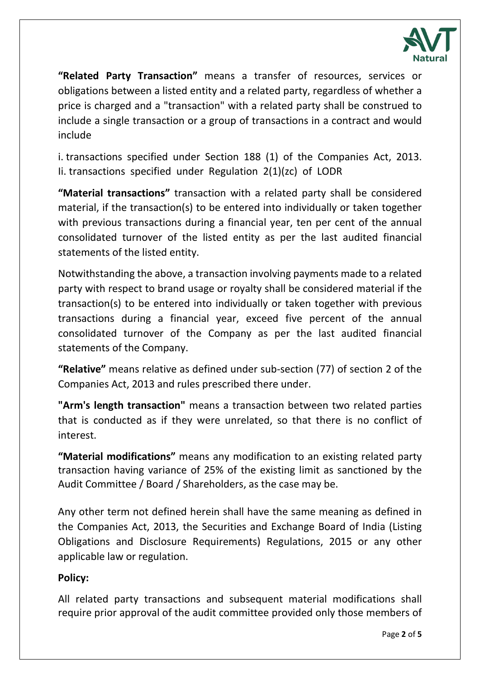

**"Related Party Transaction"** means a transfer of resources, services or obligations between a listed entity and a related party, regardless of whether a price is charged and a "transaction" with a related party shall be construed to include a single transaction or a group of transactions in a contract and would include

i. transactions specified under Section 188 (1) of the Companies Act, 2013. Ii. transactions specified under Regulation 2(1)(zc) of LODR

**"Material transactions"** transaction with a related party shall be considered material, if the transaction(s) to be entered into individually or taken together with previous transactions during a financial year, ten per cent of the annual consolidated turnover of the listed entity as per the last audited financial statements of the listed entity.

Notwithstanding the above, a transaction involving payments made to a related party with respect to brand usage or royalty shall be considered material if the transaction(s) to be entered into individually or taken together with previous transactions during a financial year, exceed five percent of the annual consolidated turnover of the Company as per the last audited financial statements of the Company.

**"Relative"** means relative as defined under sub-section (77) of section 2 of the Companies Act, 2013 and rules prescribed there under.

**"Arm's length transaction"** means a transaction between two related parties that is conducted as if they were unrelated, so that there is no conflict of interest.

**"Material modifications"** means any modification to an existing related party transaction having variance of 25% of the existing limit as sanctioned by the Audit Committee / Board / Shareholders, as the case may be.

Any other term not defined herein shall have the same meaning as defined in the Companies Act, 2013, the Securities and Exchange Board of India (Listing Obligations and Disclosure Requirements) Regulations, 2015 or any other applicable law or regulation.

# **Policy:**

All related party transactions and subsequent material modifications shall require prior approval of the audit committee provided only those members of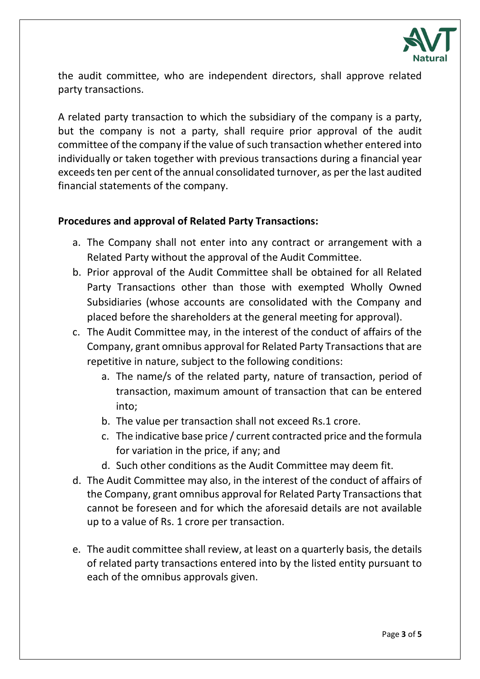

the audit committee, who are independent directors, shall approve related party transactions.

A related party transaction to which the subsidiary of the company is a party, but the company is not a party, shall require prior approval of the audit committee of the company if the value of such transaction whether entered into individually or taken together with previous transactions during a financial year exceeds ten per cent of the annual consolidated turnover, as per the last audited financial statements of the company.

## **Procedures and approval of Related Party Transactions:**

- a. The Company shall not enter into any contract or arrangement with a Related Party without the approval of the Audit Committee.
- b. Prior approval of the Audit Committee shall be obtained for all Related Party Transactions other than those with exempted Wholly Owned Subsidiaries (whose accounts are consolidated with the Company and placed before the shareholders at the general meeting for approval).
- c. The Audit Committee may, in the interest of the conduct of affairs of the Company, grant omnibus approval for Related Party Transactions that are repetitive in nature, subject to the following conditions:
	- a. The name/s of the related party, nature of transaction, period of transaction, maximum amount of transaction that can be entered into;
	- b. The value per transaction shall not exceed Rs.1 crore.
	- c. The indicative base price / current contracted price and the formula for variation in the price, if any; and
	- d. Such other conditions as the Audit Committee may deem fit.
- d. The Audit Committee may also, in the interest of the conduct of affairs of the Company, grant omnibus approval for Related Party Transactions that cannot be foreseen and for which the aforesaid details are not available up to a value of Rs. 1 crore per transaction.
- e. The audit committee shall review, at least on a quarterly basis, the details of related party transactions entered into by the listed entity pursuant to each of the omnibus approvals given.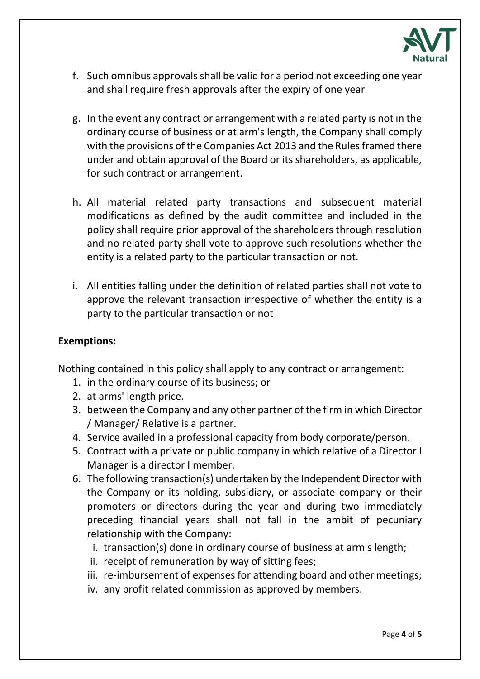

- f. Such omnibus approvals shall be valid for a period not exceeding one year and shall require fresh approvals after the expiry of one year
- g. In the event any contract or arrangement with a related party is not in the ordinary course of business or at arm's length, the Company shall comply with the provisions of the Companies Act 2013 and the Rules framed there under and obtain approval of the Board or its shareholders, as applicable, for such contract or arrangement.
- h. All material related party transactions and subsequent material modifications as defined by the audit committee and included in the policy shall require prior approval of the shareholders through resolution and no related party shall vote to approve such resolutions whether the entity is a related party to the particular transaction or not.
- i. All entities falling under the definition of related parties shall not vote to approve the relevant transaction irrespective of whether the entity is a party to the particular transaction or not

#### **Exemptions:**

Nothing contained in this policy shall apply to any contract or arrangement:

- 1. in the ordinary course of its business; or
- 2. at arms' length price.
- 3. between the Company and any other partner of the firm in which Director / Manager/ Relative is a partner.
- 4. Service availed in a professional capacity from body corporate/person.
- 5. Contract with a private or public company in which relative of a Director I Manager is a director I member.
- 6. The following transaction(s) undertaken by the Independent Director with the Company or its holding, subsidiary, or associate company or their promoters or directors during the year and during two immediately preceding financial years shall not fall in the ambit of pecuniary relationship with the Company:
	- i. transaction(s) done in ordinary course of business at arm's length;
	- ii. receipt of remuneration by way of sitting fees;
	- iii. re-imbursement of expenses for attending board and other meetings;
	- iv. any profit related commission as approved by members.